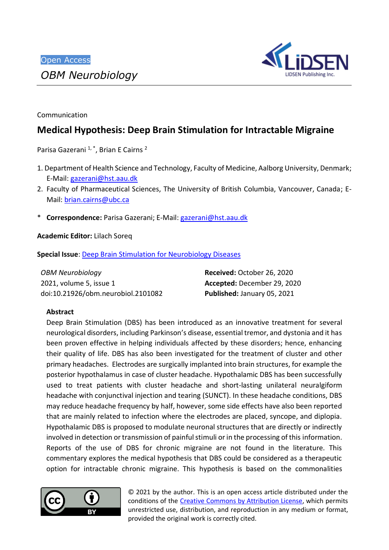

Communication

# **Medical Hypothesis: Deep Brain Stimulation for Intractable Migraine**

Parisa Gazerani<sup>1,\*</sup>, Brian E Cairns<sup>2</sup>

- 1. Department of Health Science and Technology, Faculty of Medicine, Aalborg University, Denmark; E-Mail: [gazerani@hst.aau.dk](mailto:gazerani@hst.aau.dk)
- 2. Faculty of Pharmaceutical Sciences, The University of British Columbia, Vancouver, Canada; E-Mail: [brian.cairns@ubc.ca](mailto:brian.cairns@ubc.ca)
- \* **Correspondence:** Parisa Gazerani; E-Mail[: gazerani@hst.aau.dk](mailto:gazerani@hst.aau.dk)

**Academic Editor:** Lilach Soreq

**Special Issue**: [Deep Brain Stimulation for Neurobiology Diseases](http://www.lidsen.com/journals/neurobiology/neurobiology-special-issues/dbs-neurobiol-dis)

| <b>OBM Neurobiology</b>            | Received: October 26, 2020  |
|------------------------------------|-----------------------------|
| 2021, volume 5, issue 1            | Accepted: December 29, 2020 |
| doi:10.21926/obm.neurobiol.2101082 | Published: January 05, 2021 |

## **Abstract**

Deep Brain Stimulation (DBS) has been introduced as an innovative treatment for several neurological disorders, including Parkinson's disease, essential tremor, and dystonia and it has been proven effective in helping individuals affected by these disorders; hence, enhancing their quality of life. DBS has also been investigated for the treatment of cluster and other primary headaches. Electrodes are surgically implanted into brain structures, for example the posterior hypothalamus in case of cluster headache. Hypothalamic DBS has been successfully used to treat patients with cluster headache and short-lasting unilateral neuralgiform headache with conjunctival injection and tearing (SUNCT). In these headache conditions, DBS may reduce headache frequency by half, however, some side effects have also been reported that are mainly related to infection where the electrodes are placed, syncope, and diplopia. Hypothalamic DBS is proposed to modulate neuronal structures that are directly or indirectly involved in detection or transmission of painful stimuli or in the processing of this information. Reports of the use of DBS for chronic migraine are not found in the literature. This commentary explores the medical hypothesis that DBS could be considered as a therapeutic option for intractable chronic migraine. This hypothesis is based on the commonalities



© 2021 by the author. This is an open access article distributed under the conditions of the [Creative Commons by Attribution License,](http://creativecommons.org/licenses/by/4.0/) which permits unrestricted use, distribution, and reproduction in any medium or format, provided the original work is correctly cited.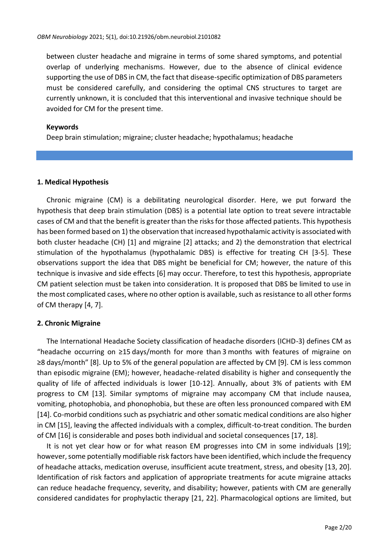between cluster headache and migraine in terms of some shared symptoms, and potential overlap of underlying mechanisms. However, due to the absence of clinical evidence supporting the use of DBS in CM, the fact that disease-specific optimization of DBS parameters must be considered carefully, and considering the optimal CNS structures to target are currently unknown, it is concluded that this interventional and invasive technique should be avoided for CM for the present time.

#### **Keywords**

Deep brain stimulation; migraine; cluster headache; hypothalamus; headache

#### **1. Medical Hypothesis**

Chronic migraine (CM) is a debilitating neurological disorder. Here, we put forward the hypothesis that deep brain stimulation (DBS) is a potential late option to treat severe intractable cases of CM and that the benefit is greater than the risks for those affected patients. This hypothesis has been formed based on 1) the observation that increased hypothalamic activity is associated with both cluster headache (CH) [1] and migraine [2] attacks; and 2) the demonstration that electrical stimulation of the hypothalamus (hypothalamic DBS) is effective for treating CH [3-5]. These observations support the idea that DBS might be beneficial for CM; however, the nature of this technique is invasive and side effects [6] may occur. Therefore, to test this hypothesis, appropriate CM patient selection must be taken into consideration. It is proposed that DBS be limited to use in the most complicated cases, where no other option is available, such as resistance to all other forms of CM therapy [4, 7].

## **2. Chronic Migraine**

The International Headache Society classification of headache disorders (ICHD-3) defines CM as "headache occurring on ≥15 days/month for more than 3 months with features of migraine on ≥8 days/month" [8]. Up to 5% of the general population are affected by CM [9]. CM is less common than episodic migraine (EM); however, headache-related disability is higher and consequently the quality of life of affected individuals is lower [10-12]. Annually, about 3% of patients with EM progress to CM [13]. Similar symptoms of migraine may accompany CM that include nausea, vomiting, photophobia, and phonophobia, but these are often less pronounced compared with EM [14]. Co-morbid conditions such as psychiatric and other somatic medical conditions are also higher in CM [15], leaving the affected individuals with a complex, difficult-to-treat condition. The burden of CM [16] is considerable and poses both individual and societal consequences [17, 18].

It is not yet clear how or for what reason EM progresses into CM in some individuals [19]; however, some potentially modifiable risk factors have been identified, which include the frequency of headache attacks, medication overuse, insufficient acute treatment, stress, and obesity [13, 20]. Identification of risk factors and application of appropriate treatments for acute migraine attacks can reduce headache frequency, severity, and disability; however, patients with CM are generally considered candidates for prophylactic therapy [21, 22]. Pharmacological options are limited, but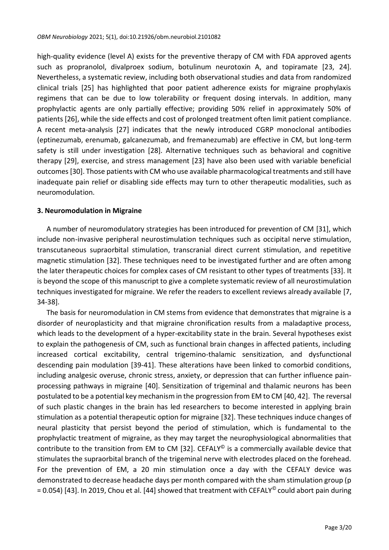high-quality evidence (level A) exists for the preventive therapy of CM with FDA approved agents such as propranolol, divalproex sodium, botulinum neurotoxin A, and topiramate [23, 24]. Nevertheless, a systematic review, including both observational studies and data from randomized clinical trials [25] has highlighted that poor patient adherence exists for migraine prophylaxis regimens that can be due to low tolerability or frequent dosing intervals. In addition, many prophylactic agents are only partially effective; providing 50% relief in approximately 50% of patients [26], while the side effects and cost of prolonged treatment often limit patient compliance. A recent meta-analysis [27] indicates that the newly introduced CGRP monoclonal antibodies (eptinezumab, erenumab, galcanezumab, and fremanezumab) are effective in CM, but long-term safety is still under investigation [28]. Alternative techniques such as behavioral and cognitive therapy [29], exercise, and stress management [23] have also been used with variable beneficial outcomes [30]. Those patients with CM who use available pharmacological treatments and still have inadequate pain relief or disabling side effects may turn to other therapeutic modalities, such as neuromodulation.

#### **3. Neuromodulation in Migraine**

A number of neuromodulatory strategies has been introduced for prevention of CM [31], which include non-invasive peripheral neurostimulation techniques such as occipital nerve stimulation, transcutaneous supraorbital stimulation, transcranial direct current stimulation, and repetitive magnetic stimulation [32]. These techniques need to be investigated further and are often among the later therapeutic choices for complex cases of CM resistant to other types of treatments [33]. It is beyond the scope of this manuscript to give a complete systematic review of all neurostimulation techniques investigated for migraine. We refer the readers to excellent reviews already available [7, 34-38].

The basis for neuromodulation in CM stems from evidence that demonstrates that migraine is a disorder of neuroplasticity and that migraine chronification results from a maladaptive process, which leads to the development of a hyper-excitability state in the brain. Several hypotheses exist to explain the pathogenesis of CM, such as functional brain changes in affected patients, including increased cortical excitability, central trigemino-thalamic sensitization, and dysfunctional descending pain modulation [39-41]. These alterations have been linked to comorbid conditions, including analgesic overuse, chronic stress, anxiety, or depression that can further influence painprocessing pathways in migraine [40]. Sensitization of trigeminal and thalamic neurons has been postulated to be a potential key mechanism in the progression from EM to CM [40, 42]. The reversal of such plastic changes in the brain has led researchers to become interested in applying brain stimulation as a potential therapeutic option for migraine [32]. These techniques induce changes of neural plasticity that persist beyond the period of stimulation, which is fundamental to the prophylactic treatment of migraine, as they may target the neurophysiological abnormalities that contribute to the transition from EM to CM [32]. CEFALY<sup>©</sup> is a commercially available device that stimulates the supraorbital branch of the trigeminal nerve with electrodes placed on the forehead. For the prevention of EM, a 20 min stimulation once a day with the CEFALY device was demonstrated to decrease headache days per month compared with the sham stimulation group (p = 0.054) [43]. In 2019, Chou et al. [44] showed that treatment with CEFALY© could abort pain during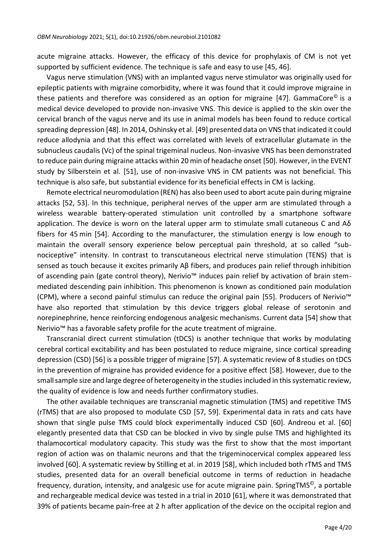acute migraine attacks. However, the efficacy of this device for prophylaxis of CM is not yet supported by sufficient evidence. The technique is safe and easy to use [45, 46].

Vagus nerve stimulation (VNS) with an implanted vagus nerve stimulator was originally used for epileptic patients with migraine comorbidity, where it was found that it could improve migraine in these patients and therefore was considered as an option for migraine [47]. GammaCore<sup>®</sup> is a medical device developed to provide non-invasive VNS. This device is applied to the skin over the cervical branch of the vagus nerve and its use in animal models has been found to reduce cortical spreading depression [48]. In 2014, Oshinsky et al. [49] presented data on VNS that indicated it could reduce allodynia and that this effect was correlated with levels of extracellular glutamate in the subnucleus caudalis (Vc) of the spinal trigeminal nucleus. Non-invasive VNS has been demonstrated to reduce pain during migraine attacks within 20 min of headache onset [50]. However, in the EVENT study by Silberstein et al. [51], use of non-invasive VNS in CM patients was not beneficial. This technique is also safe, but substantial evidence for its beneficial effects in CM is lacking.

Remote electrical neuromodulation (REN) has also been used to abort acute pain during migraine attacks [52, 53]. In this technique, peripheral nerves of the upper arm are stimulated through a wireless wearable battery-operated stimulation unit controlled by a smartphone software application. The device is worn on the lateral upper arm to stimulate small cutaneous C and  $A\delta$ fibers for 45 min [54]. According to the manufacturer, the stimulation energy is low enough to maintain the overall sensory experience below perceptual pain threshold, at so called "subnociceptive" intensity. In contrast to transcutaneous electrical nerve stimulation (TENS) that is sensed as touch because it excites primarily Aβ fibers, and produces pain relief through inhibition of ascending pain (gate control theory), Nerivio™ induces pain relief by activation of brain stemmediated descending pain inhibition. This phenomenon is known as conditioned pain modulation (CPM), where a second painful stimulus can reduce the original pain [55]. Producers of Nerivio™ have also reported that stimulation by this device triggers global release of serotonin and norepinephrine, hence reinforcing endogenous analgesic mechanisms. Current data [54] show that Nerivio™ has a favorable safety profile for the acute treatment of migraine.

Transcranial direct current stimulation (tDCS) is another technique that works by modulating cerebral cortical excitability and has been postulated to reduce migraine, since cortical spreading depression (CSD) [56] is a possible trigger of migraine [57]. A systematic review of 8 studies on tDCS in the prevention of migraine has provided evidence for a positive effect [58]. However, due to the small sample size and large degree of heterogeneity in the studies included in this systematic review, the quality of evidence is low and needs further confirmatory studies.

The other available techniques are transcranial magnetic stimulation (TMS) and repetitive TMS (rTMS) that are also proposed to modulate CSD [57, 59]. Experimental data in rats and cats have shown that single pulse TMS could block experimentally induced CSD [60]. Andreou et al. [60] elegantly presented data that CSD can be blocked in vivo by single pulse TMS and highlighted its thalamocortical modulatory capacity. This study was the first to show that the most important region of action was on thalamic neurons and that the trigeminocervical complex appeared less involved [60]. A systematic review by Stilling et al. in 2019 [58], which included both rTMS and TMS studies, presented data for an overall beneficial outcome in terms of reduction in headache frequency, duration, intensity, and analgesic use for acute migraine pain. SpringTMS<sup>©</sup>, a portable and rechargeable medical device was tested in a trial in 2010 [61], where it was demonstrated that 39% of patients became pain-free at 2 h after application of the device on the occipital region and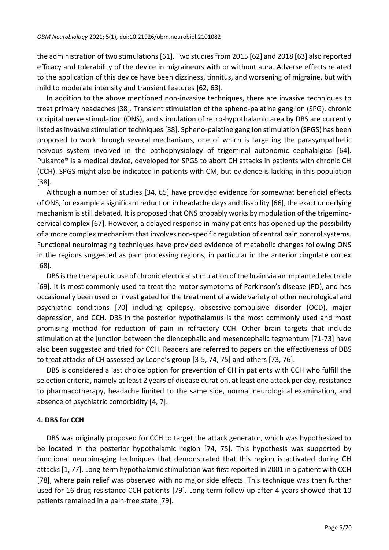the administration of two stimulations [61]. Two studies from 2015 [62] and 2018 [63] also reported efficacy and tolerability of the device in migraineurs with or without aura. Adverse effects related to the application of this device have been dizziness, tinnitus, and worsening of migraine, but with mild to moderate intensity and transient features [62, 63].

In addition to the above mentioned non-invasive techniques, there are invasive techniques to treat primary headaches [38]. Transient stimulation of the spheno-palatine ganglion (SPG), chronic occipital nerve stimulation (ONS), and stimulation of retro-hypothalamic area by DBS are currently listed as invasive stimulation techniques [38]. Spheno-palatine ganglion stimulation (SPGS) has been proposed to work through several mechanisms, one of which is targeting the parasympathetic nervous system involved in the pathophysiology of trigeminal autonomic cephalalgias [64]. Pulsante® is a medical device, developed for SPGS to abort CH attacks in patients with chronic CH (CCH). SPGS might also be indicated in patients with CM, but evidence is lacking in this population [38].

Although a number of studies [34, 65] have provided evidence for somewhat beneficial effects of ONS, for example a significant reduction in headache days and disability [66], the exact underlying mechanism is still debated. It is proposed that ONS probably works by modulation of the trigeminocervical complex [67]. However, a delayed response in many patients has opened up the possibility of a more complex mechanism that involves non-specific regulation of central pain control systems. Functional neuroimaging techniques have provided evidence of metabolic changes following ONS in the regions suggested as pain processing regions, in particular in the anterior cingulate cortex [68].

DBS is the therapeutic use of chronic electrical stimulation of the brain via an implanted electrode [69]. It is most commonly used to treat the motor symptoms of Parkinson's disease (PD), and has occasionally been used or investigated for the treatment of a wide variety of other neurological and psychiatric conditions [70] including epilepsy, obsessive-compulsive disorder (OCD), major depression, and CCH. DBS in the posterior hypothalamus is the most commonly used and most promising method for reduction of pain in refractory CCH. Other brain targets that include stimulation at the junction between the diencephalic and mesencephalic tegmentum [71-73] have also been suggested and tried for CCH. Readers are referred to papers on the effectiveness of DBS to treat attacks of CH assessed by Leone's group [3-5, 74, 75] and others [73, 76].

DBS is considered a last choice option for prevention of CH in patients with CCH who fulfill the selection criteria, namely at least 2 years of disease duration, at least one attack per day, resistance to pharmacotherapy, headache limited to the same side, normal neurological examination, and absence of psychiatric comorbidity [4, 7].

## **4. DBS for CCH**

DBS was originally proposed for CCH to target the attack generator, which was hypothesized to be located in the posterior hypothalamic region [74, 75]. This hypothesis was supported by functional neuroimaging techniques that demonstrated that this region is activated during CH attacks [1, 77]. Long-term hypothalamic stimulation was first reported in 2001 in a patient with CCH [78], where pain relief was observed with no major side effects. This technique was then further used for 16 drug-resistance CCH patients [79]. Long-term follow up after 4 years showed that 10 patients remained in a pain-free state [79].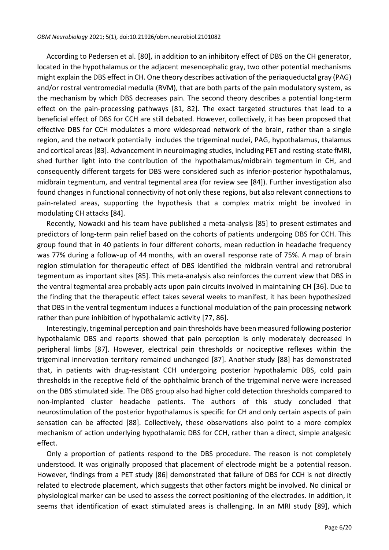According to Pedersen et al. [80], in addition to an inhibitory effect of DBS on the CH generator, located in the hypothalamus or the adjacent mesencephalic gray, two other potential mechanisms might explain the DBS effect in CH. One theory describes activation of the periaqueductal gray (PAG) and/or rostral ventromedial medulla (RVM), that are both parts of the pain modulatory system, as the mechanism by which DBS decreases pain. The second theory describes a potential long-term effect on the pain-processing pathways [81, 82]. The exact targeted structures that lead to a beneficial effect of DBS for CCH are still debated. However, collectively, it has been proposed that effective DBS for CCH modulates a more widespread network of the brain, rather than a single region, and the network potentially includes the trigeminal nuclei, PAG, hypothalamus, thalamus and cortical areas [83]. Advancement in neuroimaging studies, including PET and resting-state fMRI, shed further light into the contribution of the hypothalamus/midbrain tegmentum in CH, and consequently different targets for DBS were considered such as inferior-posterior hypothalamus, midbrain tegmentum, and ventral tegmental area (for review see [84]). Further investigation also found changes in functional connectivity of not only these regions, but also relevant connections to pain-related areas, supporting the hypothesis that a complex matrix might be involved in modulating CH attacks [84].

Recently, Nowacki and his team have published a meta-analysis [85] to present estimates and predictors of long‐term pain relief based on the cohorts of patients undergoing DBS for CCH. This group found that in 40 patients in four different cohorts, mean reduction in headache frequency was 77% during a follow-up of 44 months, with an overall response rate of 75%. A map of brain region stimulation for therapeutic effect of DBS identified the midbrain ventral and retrorubral tegmentum as important sites [85]. This meta-analysis also reinforces the current view that DBS in the ventral tegmental area probably acts upon pain circuits involved in maintaining CH [36]. Due to the finding that the therapeutic effect takes several weeks to manifest, it has been hypothesized that DBS in the ventral tegmentum induces a functional modulation of the pain processing network rather than pure inhibition of hypothalamic activity [77, 86].

Interestingly, trigeminal perception and pain thresholds have been measured following posterior hypothalamic DBS and reports showed that pain perception is only moderately decreased in peripheral limbs [87]. However, electrical pain thresholds or nociceptive reflexes within the trigeminal innervation territory remained unchanged [87]. Another study [88] has demonstrated that, in patients with drug-resistant CCH undergoing posterior hypothalamic DBS, cold pain thresholds in the receptive field of the ophthalmic branch of the trigeminal nerve were increased on the DBS stimulated side. The DBS group also had higher cold detection thresholds compared to non-implanted cluster headache patients. The authors of this study concluded that neurostimulation of the posterior hypothalamus is specific for CH and only certain aspects of pain sensation can be affected [88]. Collectively, these observations also point to a more complex mechanism of action underlying hypothalamic DBS for CCH, rather than a direct, simple analgesic effect.

Only a proportion of patients respond to the DBS procedure. The reason is not completely understood. It was originally proposed that placement of electrode might be a potential reason. However, findings from a PET study [86] demonstrated that failure of DBS for CCH is not directly related to electrode placement, which suggests that other factors might be involved. No clinical or physiological marker can be used to assess the correct positioning of the electrodes. In addition, it seems that identification of exact stimulated areas is challenging. In an MRI study [89], which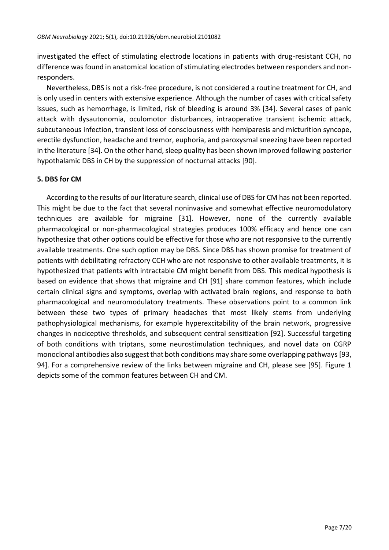investigated the effect of stimulating electrode locations in patients with drug-resistant CCH, no difference was found in anatomical location of stimulating electrodes between responders and nonresponders.

Nevertheless, DBS is not a risk-free procedure, is not considered a routine treatment for CH, and is only used in centers with extensive experience. Although the number of cases with critical safety issues, such as hemorrhage, is limited, risk of bleeding is around 3% [34]. Several cases of panic attack with dysautonomia, oculomotor disturbances, intraoperative transient ischemic attack, subcutaneous infection, transient loss of consciousness with hemiparesis and micturition syncope, erectile dysfunction, headache and tremor, euphoria, and paroxysmal sneezing have been reported in the literature [34]. On the other hand, sleep quality has been shown improved following posterior hypothalamic DBS in CH by the suppression of nocturnal attacks [90].

## **5. DBS for CM**

According to the results of our literature search, clinical use of DBS for CM has not been reported. This might be due to the fact that several noninvasive and somewhat effective neuromodulatory techniques are available for migraine [31]. However, none of the currently available pharmacological or non-pharmacological strategies produces 100% efficacy and hence one can hypothesize that other options could be effective for those who are not responsive to the currently available treatments. One such option may be DBS. Since DBS has shown promise for treatment of patients with debilitating refractory CCH who are not responsive to other available treatments, it is hypothesized that patients with intractable CM might benefit from DBS. This medical hypothesis is based on evidence that shows that migraine and CH [91] share common features, which include certain clinical signs and symptoms, overlap with activated brain regions, and response to both pharmacological and neuromodulatory treatments. These observations point to a common link between these two types of primary headaches that most likely stems from underlying pathophysiological mechanisms, for example hyperexcitability of the brain network, progressive changes in nociceptive thresholds, and subsequent central sensitization [92]. Successful targeting of both conditions with triptans, some neurostimulation techniques, and novel data on CGRP monoclonal antibodies also suggest that both conditions may share some overlapping pathways [93, 94]. For a comprehensive review of the links between migraine and CH, please see [95]. Figure 1 depicts some of the common features between CH and CM.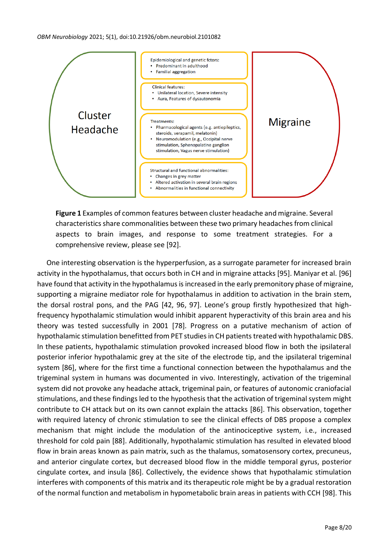

**Figure 1** Examples of common features between cluster headache and migraine. Several characteristics share commonalities between these two primary headaches from clinical aspects to brain images, and response to some treatment strategies. For a comprehensive review, please see [92].

One interesting observation is the hyperperfusion, as a surrogate parameter for increased brain activity in the hypothalamus, that occurs both in CH and in migraine attacks [95]. Maniyar et al. [96] have found that activity in the hypothalamus is increased in the early premonitory phase of migraine, supporting a migraine mediator role for hypothalamus in addition to activation in the brain stem, the dorsal rostral pons, and the PAG [42, 96, 97]. Leone's group firstly hypothesized that highfrequency hypothalamic stimulation would inhibit apparent hyperactivity of this brain area and his theory was tested successfully in 2001 [78]. Progress on a putative mechanism of action of hypothalamic stimulation benefitted from PET studies in CH patients treated with hypothalamic DBS. In these patients, hypothalamic stimulation provoked increased blood flow in both the ipsilateral posterior inferior hypothalamic grey at the site of the electrode tip, and the ipsilateral trigeminal system [86], where for the first time a functional connection between the hypothalamus and the trigeminal system in humans was documented in vivo. Interestingly, activation of the trigeminal system did not provoke any headache attack, trigeminal pain, or features of autonomic craniofacial stimulations, and these findings led to the hypothesis that the activation of trigeminal system might contribute to CH attack but on its own cannot explain the attacks [86]. This observation, together with required latency of chronic stimulation to see the clinical effects of DBS propose a complex mechanism that might include the modulation of the antinociceptive system, i.e., increased threshold for cold pain [88]. Additionally, hypothalamic stimulation has resulted in elevated blood flow in brain areas known as pain matrix, such as the thalamus, somatosensory cortex, precuneus, and anterior cingulate cortex, but decreased blood flow in the middle temporal gyrus, posterior cingulate cortex, and insula [86]. Collectively, the evidence shows that hypothalamic stimulation interferes with components of this matrix and its therapeutic role might be by a gradual restoration of the normal function and metabolism in hypometabolic brain areas in patients with CCH [98]. This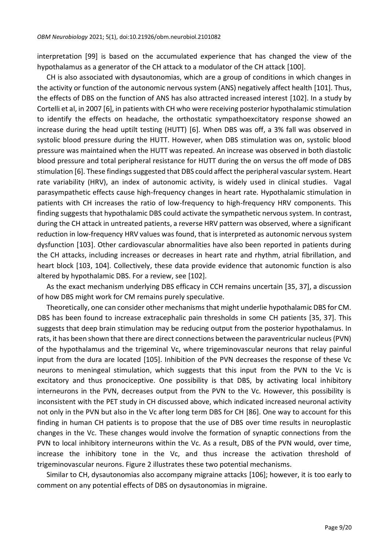interpretation [99] is based on the accumulated experience that has changed the view of the hypothalamus as a generator of the CH attack to a modulator of the CH attack [100].

CH is also associated with dysautonomias, which are a group of conditions in which changes in the activity or function of the autonomic nervous system (ANS) negatively affect health [101]. Thus, the effects of DBS on the function of ANS has also attracted increased interest [102]. In a study by Cortelli et al, in 2007 [6], in patients with CH who were receiving posterior hypothalamic stimulation to identify the effects on headache, the orthostatic sympathoexcitatory response showed an increase during the head uptilt testing (HUTT) [6]. When DBS was off, a 3% fall was observed in systolic blood pressure during the HUTT. However, when DBS stimulation was on, systolic blood pressure was maintained when the HUTT was repeated. An increase was observed in both diastolic blood pressure and total peripheral resistance for HUTT during the on versus the off mode of DBS stimulation [6]. These findings suggested that DBS could affect the peripheral vascular system. Heart rate variability (HRV), an index of autonomic activity, is widely used in clinical studies. Vagal parasympathetic effects cause high-frequency changes in heart rate. Hypothalamic stimulation in patients with CH increases the ratio of low-frequency to high-frequency HRV components. This finding suggests that hypothalamic DBS could activate the sympathetic nervous system. In contrast, during the CH attack in untreated patients, a reverse HRV pattern was observed, where a significant reduction in low-frequency HRV values was found, that is interpreted as autonomic nervous system dysfunction [103]. Other cardiovascular abnormalities have also been reported in patients during the CH attacks, including increases or decreases in heart rate and rhythm, atrial fibrillation, and heart block [103, 104]. Collectively, these data provide evidence that autonomic function is also altered by hypothalamic DBS. For a review, see [102].

As the exact mechanism underlying DBS efficacy in CCH remains uncertain [35, 37], a discussion of how DBS might work for CM remains purely speculative.

Theoretically, one can consider other mechanisms that might underlie hypothalamic DBS for CM. DBS has been found to increase extracephalic pain thresholds in some CH patients [35, 37]. This suggests that deep brain stimulation may be reducing output from the posterior hypothalamus. In rats, it has been shown that there are direct connections between the paraventricular nucleus (PVN) of the hypothalamus and the trigeminal Vc, where trigeminovascular neurons that relay painful input from the dura are located [105]. Inhibition of the PVN decreases the response of these Vc neurons to meningeal stimulation, which suggests that this input from the PVN to the Vc is excitatory and thus pronociceptive. One possibility is that DBS, by activating local inhibitory interneurons in the PVN, decreases output from the PVN to the Vc. However, this possibility is inconsistent with the PET study in CH discussed above, which indicated increased neuronal activity not only in the PVN but also in the Vc after long term DBS for CH [86]. One way to account for this finding in human CH patients is to propose that the use of DBS over time results in neuroplastic changes in the Vc. These changes would involve the formation of synaptic connections from the PVN to local inhibitory interneurons within the Vc. As a result, DBS of the PVN would, over time, increase the inhibitory tone in the Vc, and thus increase the activation threshold of trigeminovascular neurons. Figure 2 illustrates these two potential mechanisms.

Similar to CH, dysautonomias also accompany migraine attacks [106]; however, it is too early to comment on any potential effects of DBS on dysautonomias in migraine.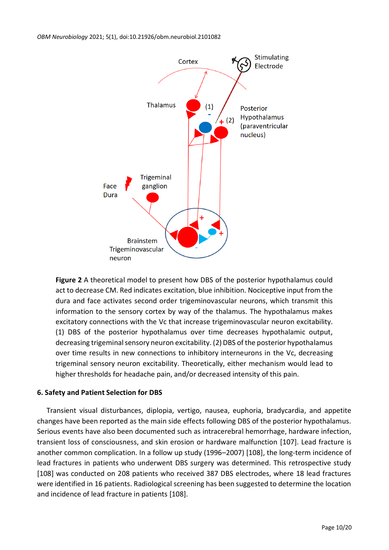

**Figure 2** A theoretical model to present how DBS of the posterior hypothalamus could act to decrease CM. Red indicates excitation, blue inhibition. Nociceptive input from the dura and face activates second order trigeminovascular neurons, which transmit this information to the sensory cortex by way of the thalamus. The hypothalamus makes excitatory connections with the Vc that increase trigeminovascular neuron excitability. (1) DBS of the posterior hypothalamus over time decreases hypothalamic output, decreasing trigeminal sensory neuron excitability. (2) DBS of the posterior hypothalamus over time results in new connections to inhibitory interneurons in the Vc, decreasing trigeminal sensory neuron excitability. Theoretically, either mechanism would lead to higher thresholds for headache pain, and/or decreased intensity of this pain.

## **6. Safety and Patient Selection for DBS**

Transient visual disturbances, diplopia, vertigo, nausea, euphoria, bradycardia, and appetite changes have been reported as the main side effects following DBS of the posterior hypothalamus. Serious events have also been documented such as intracerebral hemorrhage, hardware infection, transient loss of consciousness, and skin erosion or hardware malfunction [107]. Lead fracture is another common complication. In a follow up study (1996–2007) [108], the long-term incidence of lead fractures in patients who underwent DBS surgery was determined. This retrospective study [108] was conducted on 208 patients who received 387 DBS electrodes, where 18 lead fractures were identified in 16 patients. Radiological screening has been suggested to determine the location and incidence of lead fracture in patients [108].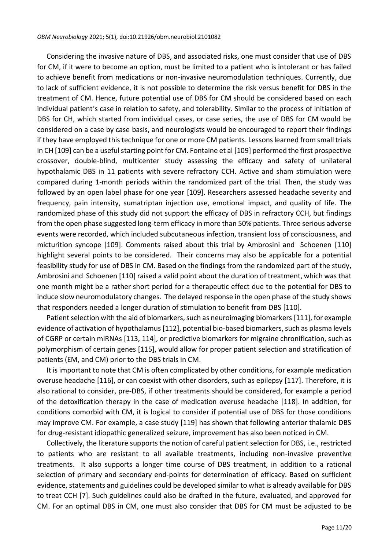Considering the invasive nature of DBS, and associated risks, one must consider that use of DBS for CM, if it were to become an option, must be limited to a patient who is intolerant or has failed to achieve benefit from medications or non-invasive neuromodulation techniques. Currently, due to lack of sufficient evidence, it is not possible to determine the risk versus benefit for DBS in the treatment of CM. Hence, future potential use of DBS for CM should be considered based on each individual patient's case in relation to safety, and tolerability. Similar to the process of initiation of DBS for CH, which started from individual cases, or case series, the use of DBS for CM would be considered on a case by case basis, and neurologists would be encouraged to report their findings if they have employed this technique for one or more CM patients. Lessons learned from small trials in CH [109] can be a useful starting point for CM. Fontaine et al [109] performed the first prospective crossover, double-blind, multicenter study assessing the efficacy and safety of unilateral hypothalamic DBS in 11 patients with severe refractory CCH. Active and sham stimulation were compared during 1-month periods within the randomized part of the trial. Then, the study was followed by an open label phase for one year [109]. Researchers assessed headache severity and frequency, pain intensity, sumatriptan injection use, emotional impact, and quality of life. The randomized phase of this study did not support the efficacy of DBS in refractory CCH, but findings from the open phase suggested long-term efficacy in more than 50% patients. Three serious adverse events were recorded, which included subcutaneous infection, transient loss of consciousness, and micturition syncope [109]. Comments raised about this trial by Ambrosini and Schoenen [110] highlight several points to be considered. Their concerns may also be applicable for a potential feasibility study for use of DBS in CM. Based on the findings from the randomized part of the study, Ambrosini and Schoenen [110] raised a valid point about the duration of treatment, which was that one month might be a rather short period for a therapeutic effect due to the potential for DBS to induce slow neuromodulatory changes. The delayed response in the open phase of the study shows that responders needed a longer duration of stimulation to benefit from DBS [110].

Patient selection with the aid of biomarkers, such as neuroimaging biomarkers [111], for example evidence of activation of hypothalamus [112], potential bio-based biomarkers, such as plasma levels of CGRP or certain miRNAs [113, 114], or predictive biomarkers for migraine chronification, such as polymorphism of certain genes [115], would allow for proper patient selection and stratification of patients (EM, and CM) prior to the DBS trials in CM.

It is important to note that CM is often complicated by other conditions, for example medication overuse headache [116], or can coexist with other disorders, such as epilepsy [117]. Therefore, it is also rational to consider, pre-DBS, if other treatments should be considered, for example a period of the detoxification therapy in the case of medication overuse headache [118]. In addition, for conditions comorbid with CM, it is logical to consider if potential use of DBS for those conditions may improve CM. For example, a case study [119] has shown that following anterior thalamic DBS for drug-resistant idiopathic generalized seizure, improvement has also been noticed in CM.

Collectively, the literature supports the notion of careful patient selection for DBS, i.e., restricted to patients who are resistant to all available treatments, including non-invasive preventive treatments. It also supports a longer time course of DBS treatment, in addition to a rational selection of primary and secondary end-points for determination of efficacy. Based on sufficient evidence, statements and guidelines could be developed similar to what is already available for DBS to treat CCH [7]. Such guidelines could also be drafted in the future, evaluated, and approved for CM. For an optimal DBS in CM, one must also consider that DBS for CM must be adjusted to be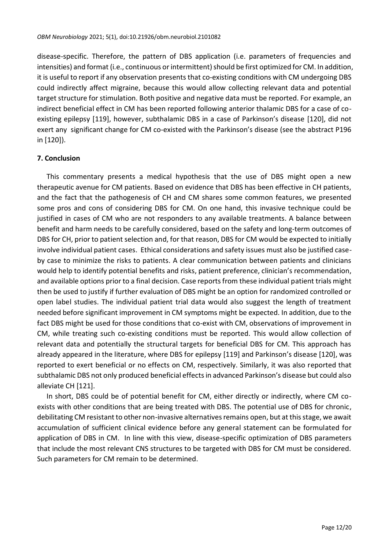disease-specific. Therefore, the pattern of DBS application (i.e. parameters of frequencies and intensities) and format (i.e., continuous or intermittent) should be first optimized for CM. In addition, it is useful to report if any observation presents that co-existing conditions with CM undergoing DBS could indirectly affect migraine, because this would allow collecting relevant data and potential target structure for stimulation. Both positive and negative data must be reported. For example, an indirect beneficial effect in CM has been reported following anterior thalamic DBS for a case of coexisting epilepsy [119], however, subthalamic DBS in a case of Parkinson's disease [120], did not exert any significant change for CM co-existed with the Parkinson's disease (see the abstract P196 in [120]).

## **7. Conclusion**

This commentary presents a medical hypothesis that the use of DBS might open a new therapeutic avenue for CM patients. Based on evidence that DBS has been effective in CH patients, and the fact that the pathogenesis of CH and CM shares some common features, we presented some pros and cons of considering DBS for CM. On one hand, this invasive technique could be justified in cases of CM who are not responders to any available treatments. A balance between benefit and harm needs to be carefully considered, based on the safety and long-term outcomes of DBS for CH, prior to patient selection and, for that reason, DBS for CM would be expected to initially involve individual patient cases. Ethical considerations and safety issues must also be justified caseby case to minimize the risks to patients. A clear communication between patients and clinicians would help to identify potential benefits and risks, patient preference, clinician's recommendation, and available options prior to a final decision. Case reports from these individual patient trials might then be used to justify if further evaluation of DBS might be an option for randomized controlled or open label studies. The individual patient trial data would also suggest the length of treatment needed before significant improvement in CM symptoms might be expected. In addition, due to the fact DBS might be used for those conditions that co-exist with CM, observations of improvement in CM, while treating such co-existing conditions must be reported. This would allow collection of relevant data and potentially the structural targets for beneficial DBS for CM. This approach has already appeared in the literature, where DBS for epilepsy [119] and Parkinson's disease [120], was reported to exert beneficial or no effects on CM, respectively. Similarly, it was also reported that subthalamic DBS not only produced beneficial effects in advanced Parkinson's disease but could also alleviate CH [121].

In short, DBS could be of potential benefit for CM, either directly or indirectly, where CM coexists with other conditions that are being treated with DBS. The potential use of DBS for chronic, debilitating CM resistant to other non-invasive alternatives remains open, but at this stage, we await accumulation of sufficient clinical evidence before any general statement can be formulated for application of DBS in CM. In line with this view, disease-specific optimization of DBS parameters that include the most relevant CNS structures to be targeted with DBS for CM must be considered. Such parameters for CM remain to be determined.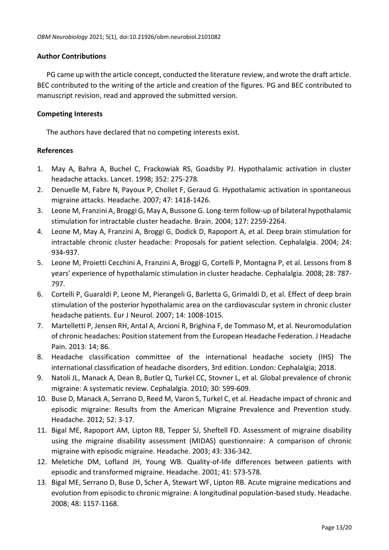#### **Author Contributions**

PG came up with the article concept, conducted the literature review, and wrote the draft article. BEC contributed to the writing of the article and creation of the figures. PG and BEC contributed to manuscript revision, read and approved the submitted version.

#### **Competing Interests**

The authors have declared that no competing interests exist.

#### **References**

- 1. May A, Bahra A, Buchel C, Frackowiak RS, Goadsby PJ. Hypothalamic activation in cluster headache attacks. Lancet. 1998; 352: 275-278.
- 2. Denuelle M, Fabre N, Payoux P, Chollet F, Geraud G. Hypothalamic activation in spontaneous migraine attacks. Headache. 2007; 47: 1418-1426.
- 3. Leone M, Franzini A, Broggi G, May A, Bussone G. Long-term follow-up of bilateral hypothalamic stimulation for intractable cluster headache. Brain. 2004; 127: 2259-2264.
- 4. Leone M, May A, Franzini A, Broggi G, Dodick D, Rapoport A, et al. Deep brain stimulation for intractable chronic cluster headache: Proposals for patient selection. Cephalalgia. 2004; 24: 934-937.
- 5. Leone M, Proietti Cecchini A, Franzini A, Broggi G, Cortelli P, Montagna P, et al. Lessons from 8 years' experience of hypothalamic stimulation in cluster headache. Cephalalgia. 2008; 28: 787- 797.
- 6. Cortelli P, Guaraldi P, Leone M, Pierangeli G, Barletta G, Grimaldi D, et al. Effect of deep brain stimulation of the posterior hypothalamic area on the cardiovascular system in chronic cluster headache patients. Eur J Neurol. 2007; 14: 1008-1015.
- 7. Martelletti P, Jensen RH, Antal A, Arcioni R, Brighina F, de Tommaso M, et al. Neuromodulation of chronic headaches: Position statement from the European Headache Federation. J Headache Pain. 2013: 14; 86.
- 8. Headache classification committee of the international headache society (IHS) The international classification of headache disorders, 3rd edition. London: Cephalalgia; 2018.
- 9. Natoli JL, Manack A, Dean B, Butler Q, Turkel CC, Stovner L, et al*.* Global prevalence of chronic migraine: A systematic review. Cephalalgia. 2010; 30: 599-609.
- 10. Buse D, Manack A, Serrano D, Reed M, Varon S, Turkel C, et al. Headache impact of chronic and episodic migraine: Results from the American Migraine Prevalence and Prevention study. Headache. 2012; 52: 3-17.
- 11. Bigal ME, Rapoport AM, Lipton RB, Tepper SJ, Sheftell FD. Assessment of migraine disability using the migraine disability assessment (MIDAS) questionnaire: A comparison of chronic migraine with episodic migraine. Headache. 2003; 43: 336-342.
- 12. Meletiche DM, Lofland JH, Young WB. Quality-of-life differences between patients with episodic and transformed migraine. Headache. 2001; 41: 573-578.
- 13. Bigal ME, Serrano D, Buse D, Scher A, Stewart WF, Lipton RB. Acute migraine medications and evolution from episodic to chronic migraine: A longitudinal population-based study. Headache. 2008; 48: 1157-1168.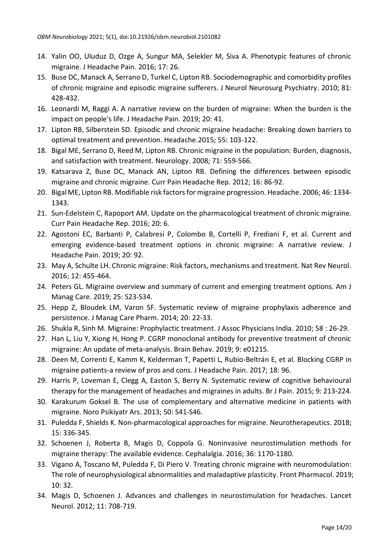- 14. Yalin OO, Uluduz D, Ozge A, Sungur MA, Selekler M, Siva A. Phenotypic features of chronic migraine. J Headache Pain. 2016; 17: 26.
- 15. Buse DC, Manack A, Serrano D, Turkel C, Lipton RB. Sociodemographic and comorbidity profiles of chronic migraine and episodic migraine sufferers. J Neurol Neurosurg Psychiatry. 2010; 81: 428-432.
- 16. Leonardi M, Raggi A. A narrative review on the burden of migraine: When the burden is the impact on people's life. J Headache Pain. 2019; 20: 41.
- 17. Lipton RB, Silberstein SD. Episodic and chronic migraine headache: Breaking down barriers to optimal treatment and prevention. Headache.2015; 55: 103-122.
- 18. Bigal ME, Serrano D, Reed M, Lipton RB. Chronic migraine in the population: Burden, diagnosis, and satisfaction with treatment. Neurology. 2008; 71: 559-566.
- 19. Katsarava Z, Buse DC, Manack AN, Lipton RB. Defining the differences between episodic migraine and chronic migraine. Curr Pain Headache Rep. 2012; 16: 86-92.
- 20. Bigal ME, Lipton RB. Modifiable risk factors for migraine progression. Headache. 2006; 46: 1334- 1343.
- 21. Sun-Edelstein C, Rapoport AM. Update on the pharmacological treatment of chronic migraine. Curr Pain Headache Rep. 2016; 20: 6.
- 22. Agostoni EC, Barbanti P, Calabresi P, Colombo B, Cortelli P, Frediani F, et al*.* Current and emerging evidence-based treatment options in chronic migraine: A narrative review. J Headache Pain. 2019; 20: 92.
- 23. May A, Schulte LH. Chronic migraine: Risk factors, mechanisms and treatment. Nat Rev Neurol. 2016; 12: 455-464.
- 24. Peters GL. Migraine overview and summary of current and emerging treatment options. Am J Manag Care. 2019; 25: S23-S34.
- 25. Hepp Z, Bloudek LM, Varon SF. Systematic review of migraine prophylaxis adherence and persistence. J Manag Care Pharm. 2014; 20: 22-33.
- 26. Shukla R, Sinh M. Migraine: Prophylactic treatment. J Assoc Physicians India. 2010; 58 : 26-29.
- 27. Han L, Liu Y, Xiong H, Hong P. CGRP monoclonal antibody for preventive treatment of chronic migraine: An update of meta-analysis. Brain Behav. 2019; 9: e01215.
- 28. Deen M, Correnti E, Kamm K, Kelderman T, Papetti L, Rubio-Beltrán E, et al*.* Blocking CGRP in migraine patients-a review of pros and cons. J Headache Pain. 2017; 18: 96.
- 29. Harris P, Loveman E, Clegg A, Easton S, Berry N. Systematic review of cognitive behavioural therapy for the management of headaches and migraines in adults. Br J Pain. 2015; 9: 213-224.
- 30. Karakurum Goksel B. The use of complementary and alternative medicine in patients with migraine. Noro Psikiyatr Ars. 2013; 50: S41-S46.
- 31. Puledda F, Shields K. Non-pharmacological approaches for migraine. Neurotherapeutics. 2018; 15: 336-345.
- 32. Schoenen J, Roberta B, Magis D, Coppola G. Noninvasive neurostimulation methods for migraine therapy: The available evidence. Cephalalgia. 2016; 36: 1170-1180.
- 33. Vigano A, Toscano M, Puledda F, Di Piero V. Treating chronic migraine with neuromodulation: The role of neurophysiological abnormalities and maladaptive plasticity. Front Pharmacol. 2019; 10: 32.
- 34. Magis D, Schoenen J. Advances and challenges in neurostimulation for headaches. Lancet Neurol. 2012; 11: 708-719.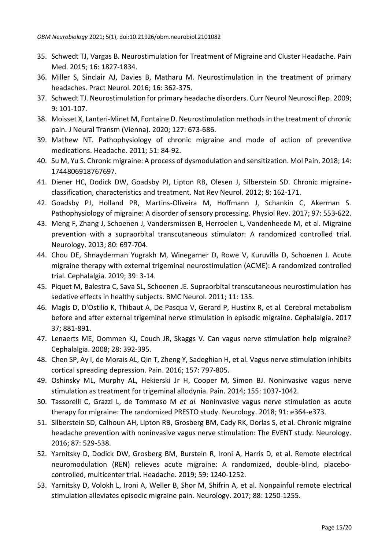- 35. Schwedt TJ, Vargas B. Neurostimulation for Treatment of Migraine and Cluster Headache. Pain Med. 2015; 16: 1827-1834.
- 36. Miller S, Sinclair AJ, Davies B, Matharu M. Neurostimulation in the treatment of primary headaches. Pract Neurol. 2016; 16: 362-375.
- 37. Schwedt TJ. Neurostimulation for primary headache disorders. Curr Neurol Neurosci Rep. 2009; 9: 101-107.
- 38. Moisset X, Lanteri-Minet M, Fontaine D. Neurostimulation methods in the treatment of chronic pain. J Neural Transm (Vienna). 2020; 127: 673-686.
- 39. Mathew NT. Pathophysiology of chronic migraine and mode of action of preventive medications. Headache. 2011; 51: 84-92.
- 40. Su M, Yu S. Chronic migraine: A process of dysmodulation and sensitization. Mol Pain. 2018; 14: 1744806918767697.
- 41. Diener HC, Dodick DW, Goadsby PJ, Lipton RB, Olesen J, Silberstein SD. Chronic migraineclassification, characteristics and treatment. Nat Rev Neurol. 2012; 8: 162-171.
- 42. Goadsby PJ, Holland PR, Martins-Oliveira M, Hoffmann J, Schankin C, Akerman S. Pathophysiology of migraine: A disorder of sensory processing. Physiol Rev. 2017; 97: 553-622.
- 43. Meng F, Zhang J, Schoenen J, Vandersmissen B, Herroelen L, Vandenheede M, et al. Migraine prevention with a supraorbital transcutaneous stimulator: A randomized controlled trial. Neurology. 2013; 80: 697-704.
- 44. Chou DE, Shnayderman Yugrakh M, Winegarner D, Rowe V, Kuruvilla D, Schoenen J. Acute migraine therapy with external trigeminal neurostimulation (ACME): A randomized controlled trial. Cephalalgia. 2019; 39: 3-14.
- 45. Piquet M, Balestra C, Sava SL, Schoenen JE. Supraorbital transcutaneous neurostimulation has sedative effects in healthy subjects. BMC Neurol. 2011; 11: 135.
- 46. Magis D, D'Ostilio K, Thibaut A, De Pasqua V, Gerard P, Hustinx R, et al*.* Cerebral metabolism before and after external trigeminal nerve stimulation in episodic migraine. Cephalalgia. 2017 37; 881-891.
- 47. Lenaerts ME, Oommen KJ, Couch JR, Skaggs V. Can vagus nerve stimulation help migraine? Cephalalgia. 2008; 28: 392-395.
- 48. Chen SP, Ay I, de Morais AL, Qin T, Zheng Y, Sadeghian H, et al. Vagus nerve stimulation inhibits cortical spreading depression. Pain. 2016; 157: 797-805.
- 49. Oshinsky ML, Murphy AL, Hekierski Jr H, Cooper M, Simon BJ. Noninvasive vagus nerve stimulation as treatment for trigeminal allodynia. Pain. 2014; 155: 1037-1042.
- 50. Tassorelli C, Grazzi L, de Tommaso M *et al.* Noninvasive vagus nerve stimulation as acute therapy for migraine: The randomized PRESTO study. Neurology. 2018; 91: e364-e373.
- 51. Silberstein SD, Calhoun AH, Lipton RB, Grosberg BM, Cady RK, Dorlas S, et al*.* Chronic migraine headache prevention with noninvasive vagus nerve stimulation: The EVENT study. Neurology. 2016; 87: 529-538.
- 52. Yarnitsky D, Dodick DW, Grosberg BM, Burstein R, Ironi A, Harris D, et al. Remote electrical neuromodulation (REN) relieves acute migraine: A randomized, double-blind, placebocontrolled, multicenter trial. Headache. 2019; 59: 1240-1252.
- 53. Yarnitsky D, Volokh L, Ironi A, Weller B, Shor M, Shifrin A, et al. Nonpainful remote electrical stimulation alleviates episodic migraine pain. Neurology. 2017; 88: 1250-1255.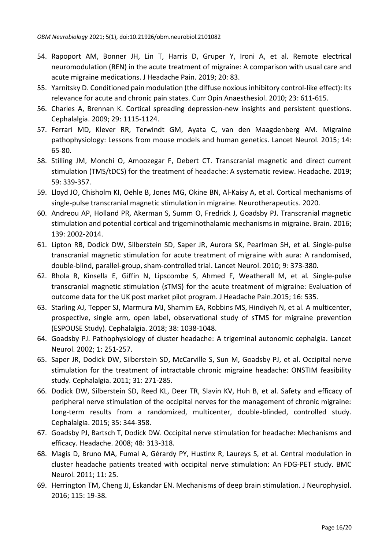- 54. Rapoport AM, Bonner JH, Lin T, Harris D, Gruper Y, Ironi A, et al. Remote electrical neuromodulation (REN) in the acute treatment of migraine: A comparison with usual care and acute migraine medications. J Headache Pain. 2019; 20: 83.
- 55. Yarnitsky D. Conditioned pain modulation (the diffuse noxious inhibitory control-like effect): Its relevance for acute and chronic pain states. Curr Opin Anaesthesiol. 2010; 23: 611-615.
- 56. Charles A, Brennan K. Cortical spreading depression-new insights and persistent questions. Cephalalgia. 2009; 29: 1115-1124.
- 57. Ferrari MD, Klever RR, Terwindt GM, Ayata C, van den Maagdenberg AM. Migraine pathophysiology: Lessons from mouse models and human genetics. Lancet Neurol. 2015; 14: 65-80.
- 58. Stilling JM, Monchi O, Amoozegar F, Debert CT. Transcranial magnetic and direct current stimulation (TMS/tDCS) for the treatment of headache: A systematic review. Headache. 2019; 59: 339-357.
- 59. Lloyd JO, Chisholm KI, Oehle B, Jones MG, Okine BN, Al-Kaisy A, et al. Cortical mechanisms of single-pulse transcranial magnetic stimulation in migraine. Neurotherapeutics. 2020.
- 60. Andreou AP, Holland PR, Akerman S, Summ O, Fredrick J, Goadsby PJ. Transcranial magnetic stimulation and potential cortical and trigeminothalamic mechanisms in migraine. Brain. 2016; 139: 2002-2014.
- 61. Lipton RB, Dodick DW, Silberstein SD, Saper JR, Aurora SK, Pearlman SH, et al*.* Single-pulse transcranial magnetic stimulation for acute treatment of migraine with aura: A randomised, double-blind, parallel-group, sham-controlled trial. Lancet Neurol. 2010; 9: 373-380.
- 62. Bhola R, Kinsella E, Giffin N, Lipscombe S, Ahmed F, Weatherall M, et al*.* Single-pulse transcranial magnetic stimulation (sTMS) for the acute treatment of migraine: Evaluation of outcome data for the UK post market pilot program. J Headache Pain.2015; 16: 535.
- 63. Starling AJ, Tepper SJ, Marmura MJ, Shamim EA, Robbins MS, Hindiyeh N, et al. A multicenter, prospective, single arm, open label, observational study of sTMS for migraine prevention (ESPOUSE Study). Cephalalgia. 2018; 38: 1038-1048.
- 64. Goadsby PJ. Pathophysiology of cluster headache: A trigeminal autonomic cephalgia. Lancet Neurol. 2002; 1: 251-257.
- 65. Saper JR, Dodick DW, Silberstein SD, McCarville S, Sun M, Goadsby PJ, et al. Occipital nerve stimulation for the treatment of intractable chronic migraine headache: ONSTIM feasibility study. Cephalalgia. 2011; 31: 271-285.
- 66. Dodick DW, Silberstein SD, Reed KL, Deer TR, Slavin KV, Huh B, et al. Safety and efficacy of peripheral nerve stimulation of the occipital nerves for the management of chronic migraine: Long-term results from a randomized, multicenter, double-blinded, controlled study. Cephalalgia. 2015; 35: 344-358.
- 67. Goadsby PJ, Bartsch T, Dodick DW. Occipital nerve stimulation for headache: Mechanisms and efficacy. Headache. 2008; 48: 313-318.
- 68. Magis D, Bruno MA, Fumal A, Gérardy PY, Hustinx R, Laureys S, et al. Central modulation in cluster headache patients treated with occipital nerve stimulation: An FDG-PET study. BMC Neurol. 2011; 11: 25.
- 69. Herrington TM, Cheng JJ, Eskandar EN. Mechanisms of deep brain stimulation. J Neurophysiol. 2016; 115: 19-38.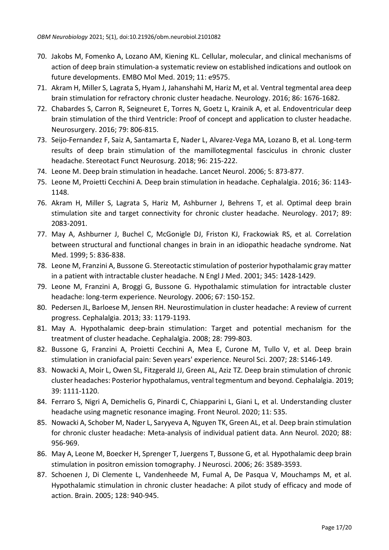- 70. Jakobs M, Fomenko A, Lozano AM, Kiening KL. Cellular, molecular, and clinical mechanisms of action of deep brain stimulation-a systematic review on established indications and outlook on future developments. EMBO Mol Med. 2019; 11: e9575.
- 71. Akram H, Miller S, Lagrata S, Hyam J, Jahanshahi M, Hariz M, et al. Ventral tegmental area deep brain stimulation for refractory chronic cluster headache. Neurology. 2016; 86: 1676-1682.
- 72. Chabardes S, Carron R, Seigneuret E, Torres N, Goetz L, Krainik A, et al. Endoventricular deep brain stimulation of the third Ventricle: Proof of concept and application to cluster headache. Neurosurgery. 2016; 79: 806-815.
- 73. Seijo-Fernandez F, Saiz A, Santamarta E, Nader L, Alvarez-Vega MA, Lozano B, et al*.* Long-term results of deep brain stimulation of the mamillotegmental fasciculus in chronic cluster headache. Stereotact Funct Neurosurg. 2018; 96: 215-222.
- 74. Leone M. Deep brain stimulation in headache. Lancet Neurol. 2006; 5: 873-877.
- 75. Leone M, Proietti Cecchini A. Deep brain stimulation in headache. Cephalalgia. 2016; 36: 1143- 1148.
- 76. Akram H, Miller S, Lagrata S, Hariz M, Ashburner J, Behrens T, et al. Optimal deep brain stimulation site and target connectivity for chronic cluster headache. Neurology. 2017; 89: 2083-2091.
- 77. May A, Ashburner J, Buchel C, McGonigle DJ, Friston KJ, Frackowiak RS, et al*.* Correlation between structural and functional changes in brain in an idiopathic headache syndrome. Nat Med. 1999; 5: 836-838.
- 78. Leone M, Franzini A, Bussone G. Stereotactic stimulation of posterior hypothalamic gray matter in a patient with intractable cluster headache. N Engl J Med. 2001; 345: 1428-1429.
- 79. Leone M, Franzini A, Broggi G, Bussone G. Hypothalamic stimulation for intractable cluster headache: long-term experience. Neurology. 2006; 67: 150-152.
- 80. Pedersen JL, Barloese M, Jensen RH. Neurostimulation in cluster headache: A review of current progress. Cephalalgia. 2013; 33: 1179-1193.
- 81. May A. Hypothalamic deep-brain stimulation: Target and potential mechanism for the treatment of cluster headache. Cephalalgia. 2008; 28: 799-803.
- 82. Bussone G, Franzini A, Proietti Cecchini A, Mea E, Curone M, Tullo V, et al. Deep brain stimulation in craniofacial pain: Seven years' experience. Neurol Sci. 2007; 28: S146-149.
- 83. Nowacki A, Moir L, Owen SL, Fitzgerald JJ, Green AL, Aziz TZ. Deep brain stimulation of chronic cluster headaches: Posterior hypothalamus, ventral tegmentum and beyond. Cephalalgia. 2019; 39: 1111-1120.
- 84. Ferraro S, Nigri A, Demichelis G, Pinardi C, Chiapparini L, Giani L, et al. Understanding cluster headache using magnetic resonance imaging. Front Neurol. 2020; 11: 535.
- 85. Nowacki A, Schober M, Nader L, Saryyeva A, Nguyen TK, Green AL, et al. Deep brain stimulation for chronic cluster headache: Meta-analysis of individual patient data. Ann Neurol. 2020; 88: 956-969.
- 86. May A, Leone M, Boecker H, Sprenger T, Juergens T, Bussone G, et al*.* Hypothalamic deep brain stimulation in positron emission tomography. J Neurosci. 2006; 26: 3589-3593.
- 87. Schoenen J, Di Clemente L, Vandenheede M, Fumal A, De Pasqua V, Mouchamps M, et al. Hypothalamic stimulation in chronic cluster headache: A pilot study of efficacy and mode of action. Brain. 2005; 128: 940-945.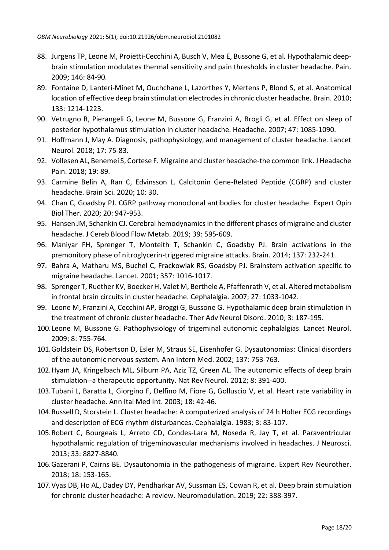- 88. Jurgens TP, Leone M, Proietti-Cecchini A, Busch V, Mea E, Bussone G, et al*.* Hypothalamic deepbrain stimulation modulates thermal sensitivity and pain thresholds in cluster headache. Pain. 2009; 146: 84-90.
- 89. Fontaine D, Lanteri-Minet M, Ouchchane L, Lazorthes Y, Mertens P, Blond S, et al. Anatomical location of effective deep brain stimulation electrodes in chronic cluster headache. Brain. 2010; 133: 1214-1223.
- 90. Vetrugno R, Pierangeli G, Leone M, Bussone G, Franzini A, Brogli G, et al. Effect on sleep of posterior hypothalamus stimulation in cluster headache. Headache. 2007; 47: 1085-1090.
- 91. Hoffmann J, May A. Diagnosis, pathophysiology, and management of cluster headache. Lancet Neurol. 2018; 17: 75-83.
- 92. Vollesen AL, Benemei S, Cortese F*.* Migraine and cluster headache-the common link. J Headache Pain. 2018; 19: 89.
- 93. Carmine Belin A, Ran C, Edvinsson L. Calcitonin Gene-Related Peptide (CGRP) and cluster headache. Brain Sci. 2020; 10: 30.
- 94. Chan C, Goadsby PJ. CGRP pathway monoclonal antibodies for cluster headache. Expert Opin Biol Ther. 2020; 20: 947-953.
- 95. Hansen JM, Schankin CJ. Cerebral hemodynamics in the different phases of migraine and cluster headache. J Cereb Blood Flow Metab. 2019; 39: 595-609.
- 96. Maniyar FH, Sprenger T, Monteith T, Schankin C, Goadsby PJ. Brain activations in the premonitory phase of nitroglycerin-triggered migraine attacks. Brain. 2014; 137: 232-241.
- 97. Bahra A, Matharu MS, Buchel C, Frackowiak RS, Goadsby PJ. Brainstem activation specific to migraine headache. Lancet. 2001; 357: 1016-1017.
- 98. Sprenger T, Ruether KV, Boecker H, Valet M, Berthele A, Pfaffenrath V, et al. Altered metabolism in frontal brain circuits in cluster headache. Cephalalgia. 2007; 27: 1033-1042.
- 99. Leone M, Franzini A, Cecchini AP, Broggi G, Bussone G. Hypothalamic deep brain stimulation in the treatment of chronic cluster headache. Ther Adv Neurol Disord. 2010; 3: 187-195.
- 100.Leone M, Bussone G. Pathophysiology of trigeminal autonomic cephalalgias. Lancet Neurol. 2009; 8: 755-764.
- 101.Goldstein DS, Robertson D, Esler M, Straus SE, Eisenhofer G. Dysautonomias: Clinical disorders of the autonomic nervous system. Ann Intern Med. 2002; 137: 753-763.
- 102.Hyam JA, Kringelbach ML, Silburn PA, Aziz TZ, Green AL. The autonomic effects of deep brain stimulation--a therapeutic opportunity. Nat Rev Neurol. 2012; 8: 391-400.
- 103.Tubani L, Baratta L, Giorgino F, Delfino M, Fiore G, Golluscio V, et al. Heart rate variability in cluster headache. Ann Ital Med Int. 2003; 18: 42-46.
- 104.Russell D, Storstein L. Cluster headache: A computerized analysis of 24 h Holter ECG recordings and description of ECG rhythm disturbances. Cephalalgia. 1983; 3: 83-107.
- 105.Robert C, Bourgeais L, Arreto CD, Condes-Lara M, Noseda R, Jay T, et al. Paraventricular hypothalamic regulation of trigeminovascular mechanisms involved in headaches. J Neurosci. 2013; 33: 8827-8840.
- 106.Gazerani P, Cairns BE. Dysautonomia in the pathogenesis of migraine. Expert Rev Neurother. 2018; 18: 153-165.
- 107.Vyas DB, Ho AL, Dadey DY, Pendharkar AV, Sussman ES, Cowan R, et al*.* Deep brain stimulation for chronic cluster headache: A review. Neuromodulation. 2019; 22: 388-397.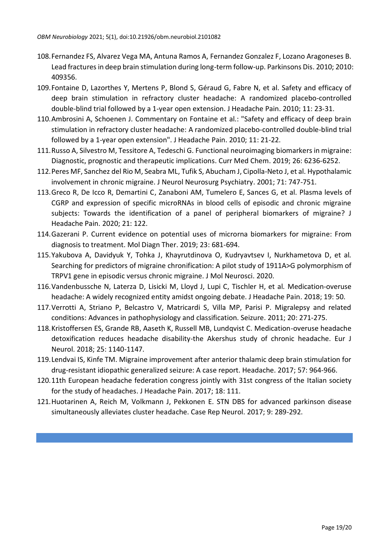- 108.Fernandez FS, Alvarez Vega MA, Antuna Ramos A, Fernandez Gonzalez F, Lozano Aragoneses B. Lead fractures in deep brain stimulation during long-term follow-up. Parkinsons Dis. 2010; 2010: 409356.
- 109.Fontaine D, Lazorthes Y, Mertens P, Blond S, Géraud G, Fabre N, et al. Safety and efficacy of deep brain stimulation in refractory cluster headache: A randomized placebo-controlled double-blind trial followed by a 1-year open extension. J Headache Pain. 2010; 11: 23-31.
- 110.Ambrosini A, Schoenen J. Commentary on Fontaine et al.: "Safety and efficacy of deep brain stimulation in refractory cluster headache: A randomized placebo-controlled double-blind trial followed by a 1-year open extension". J Headache Pain. 2010; 11: 21-22.
- 111.Russo A, Silvestro M, Tessitore A, Tedeschi G. Functional neuroimaging biomarkers in migraine: Diagnostic, prognostic and therapeutic implications. Curr Med Chem. 2019; 26: 6236-6252.
- 112.Peres MF, Sanchez del Rio M, Seabra ML, Tufik S, Abucham J, Cipolla-Neto J, et al. Hypothalamic involvement in chronic migraine. J Neurol Neurosurg Psychiatry. 2001; 71: 747-751.
- 113.Greco R, De Icco R, Demartini C, Zanaboni AM, Tumelero E, Sances G, et al. Plasma levels of CGRP and expression of specific microRNAs in blood cells of episodic and chronic migraine subjects: Towards the identification of a panel of peripheral biomarkers of migraine? J Headache Pain. 2020; 21: 122.
- 114.Gazerani P. Current evidence on potential uses of microrna biomarkers for migraine: From diagnosis to treatment. Mol Diagn Ther. 2019; 23: 681-694.
- 115.Yakubova A, Davidyuk Y, Tohka J, Khayrutdinova O, Kudryavtsev I, Nurkhametova D, et al*.* Searching for predictors of migraine chronification: A pilot study of 1911A>G polymorphism of TRPV1 gene in episodic versus chronic migraine. J Mol Neurosci. 2020.
- 116.Vandenbussche N, Laterza D, Lisicki M, Lloyd J, Lupi C, Tischler H, et al*.* Medication-overuse headache: A widely recognized entity amidst ongoing debate. J Headache Pain. 2018; 19: 50.
- 117.Verrotti A, Striano P, Belcastro V, Matricardi S, Villa MP, Parisi P. Migralepsy and related conditions: Advances in pathophysiology and classification. Seizure. 2011; 20: 271-275.
- 118.Kristoffersen ES, Grande RB, Aaseth K, Russell MB, Lundqvist C. Medication-overuse headache detoxification reduces headache disability-the Akershus study of chronic headache. Eur J Neurol. 2018; 25: 1140-1147.
- 119.Lendvai IS, Kinfe TM. Migraine improvement after anterior thalamic deep brain stimulation for drug-resistant idiopathic generalized seizure: A case report. Headache. 2017; 57: 964-966.
- 120.11th European headache federation congress jointly with 31st congress of the Italian society for the study of headaches. J Headache Pain. 2017; 18: 111.
- 121.Huotarinen A, Reich M, Volkmann J, Pekkonen E. STN DBS for advanced parkinson disease simultaneously alleviates cluster headache. Case Rep Neurol. 2017; 9: 289-292.